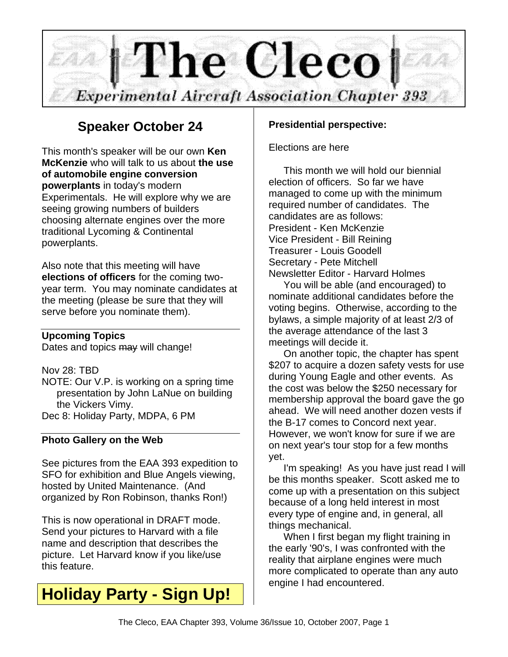

### **Speaker October 24**

This month's speaker will be our own **Ken McKenzie** who will talk to us about **the use of automobile engine conversion powerplants** in today's modern Experimentals. He will explore why we are seeing growing numbers of builders choosing alternate engines over the more traditional Lycoming & Continental powerplants.

Also note that this meeting will have **elections of officers** for the coming twoyear term. You may nominate candidates at the meeting (please be sure that they will serve before you nominate them).

### **Upcoming Topics**

Dates and topics may will change!

Nov 28: TBD

NOTE: Our V.P. is working on a spring time presentation by John LaNue on building the Vickers Vimy. Dec 8: Holiday Party, MDPA, 6 PM

### **Photo Gallery on the Web**

See pictures from the EAA 393 expedition to SFO for exhibition and Blue Angels viewing, hosted by United Maintenance. (And organized by Ron Robinson, thanks Ron!)

This is now operational in DRAFT mode. Send your pictures to Harvard with a file name and description that describes the picture. Let Harvard know if you like/use this feature.

## **Holiday Party - Sign Up!**

### **Presidential perspective:**

Elections are here

This month we will hold our biennial election of officers. So far we have managed to come up with the minimum required number of candidates. The candidates are as follows: President - Ken McKenzie Vice President - Bill Reining Treasurer - Louis Goodell Secretary - Pete Mitchell Newsletter Editor - Harvard Holmes

You will be able (and encouraged) to nominate additional candidates before the voting begins. Otherwise, according to the bylaws, a simple majority of at least 2/3 of the average attendance of the last 3 meetings will decide it.

On another topic, the chapter has spent \$207 to acquire a dozen safety vests for use during Young Eagle and other events. As the cost was below the \$250 necessary for membership approval the board gave the go ahead. We will need another dozen vests if the B-17 comes to Concord next year. However, we won't know for sure if we are on next year's tour stop for a few months yet.

I'm speaking! As you have just read I will be this months speaker. Scott asked me to come up with a presentation on this subject because of a long held interest in most every type of engine and, in general, all things mechanical.

When I first began my flight training in the early '90's, I was confronted with the reality that airplane engines were much more complicated to operate than any auto engine I had encountered.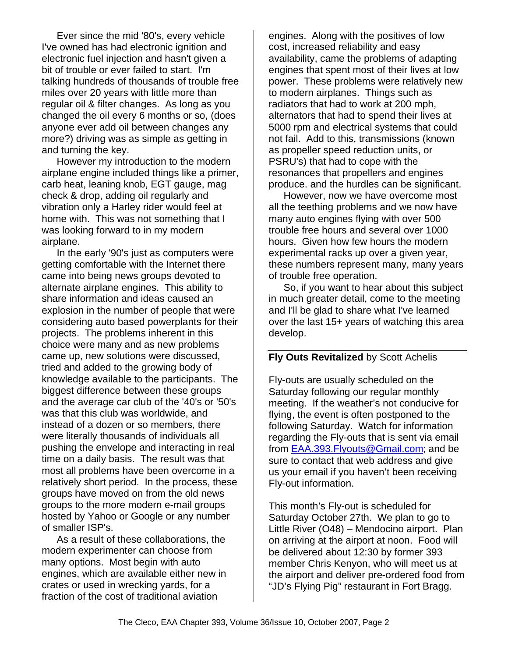Ever since the mid '80's, every vehicle I've owned has had electronic ignition and electronic fuel injection and hasn't given a bit of trouble or ever failed to start. I'm talking hundreds of thousands of trouble free miles over 20 years with little more than regular oil & filter changes. As long as you changed the oil every 6 months or so, (does anyone ever add oil between changes any more?) driving was as simple as getting in and turning the key.

However my introduction to the modern airplane engine included things like a primer, carb heat, leaning knob, EGT gauge, mag check & drop, adding oil regularly and vibration only a Harley rider would feel at home with. This was not something that I was looking forward to in my modern airplane.

In the early '90's just as computers were getting comfortable with the Internet there came into being news groups devoted to alternate airplane engines. This ability to share information and ideas caused an explosion in the number of people that were considering auto based powerplants for their projects. The problems inherent in this choice were many and as new problems came up, new solutions were discussed, tried and added to the growing body of knowledge available to the participants. The biggest difference between these groups and the average car club of the '40's or '50's was that this club was worldwide, and instead of a dozen or so members, there were literally thousands of individuals all pushing the envelope and interacting in real time on a daily basis. The result was that most all problems have been overcome in a relatively short period. In the process, these groups have moved on from the old news groups to the more modern e-mail groups hosted by Yahoo or Google or any number of smaller ISP's.

As a result of these collaborations, the modern experimenter can choose from many options. Most begin with auto engines, which are available either new in crates or used in wrecking yards, for a fraction of the cost of traditional aviation

engines. Along with the positives of low cost, increased reliability and easy availability, came the problems of adapting engines that spent most of their lives at low power. These problems were relatively new to modern airplanes. Things such as radiators that had to work at 200 mph, alternators that had to spend their lives at 5000 rpm and electrical systems that could not fail. Add to this, transmissions (known as propeller speed reduction units, or PSRU's) that had to cope with the resonances that propellers and engines produce. and the hurdles can be significant.

However, now we have overcome most all the teething problems and we now have many auto engines flying with over 500 trouble free hours and several over 1000 hours. Given how few hours the modern experimental racks up over a given year, these numbers represent many, many years of trouble free operation.

So, if you want to hear about this subject in much greater detail, come to the meeting and I'll be glad to share what I've learned over the last 15+ years of watching this area develop.

#### **Fly Outs Revitalized** by Scott Achelis

Fly-outs are usually scheduled on the Saturday following our regular monthly meeting. If the weather's not conducive for flying, the event is often postponed to the following Saturday. Watch for information regarding the Fly-outs that is sent via email from EAA.393.Flyouts@Gmail.com; and be sure to contact that web address and give us your email if you haven't been receiving Fly-out information.

This month's Fly-out is scheduled for Saturday October 27th. We plan to go to Little River (O48) – Mendocino airport. Plan on arriving at the airport at noon. Food will be delivered about 12:30 by former 393 member Chris Kenyon, who will meet us at the airport and deliver pre-ordered food from "JD's Flying Pig" restaurant in Fort Bragg.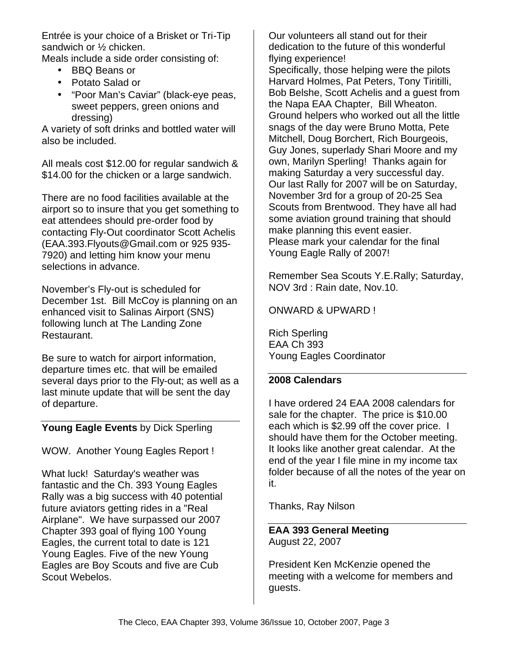Entrée is your choice of a Brisket or Tri-Tip sandwich or ½ chicken.

Meals include a side order consisting of:

- BBQ Beans or
- Potato Salad or
- "Poor Man's Caviar" (black-eye peas, sweet peppers, green onions and dressing)

A variety of soft drinks and bottled water will also be included.

All meals cost \$12.00 for regular sandwich & \$14.00 for the chicken or a large sandwich.

There are no food facilities available at the airport so to insure that you get something to eat attendees should pre-order food by contacting Fly-Out coordinator Scott Achelis (EAA.393.Flyouts@Gmail.com or 925 935- 7920) and letting him know your menu selections in advance.

November's Fly-out is scheduled for December 1st. Bill McCoy is planning on an enhanced visit to Salinas Airport (SNS) following lunch at The Landing Zone Restaurant.

Be sure to watch for airport information, departure times etc. that will be emailed several days prior to the Fly-out; as well as a last minute update that will be sent the day of departure.

### **Young Eagle Events** by Dick Sperling

WOW. Another Young Eagles Report !

What luck! Saturday's weather was fantastic and the Ch. 393 Young Eagles Rally was a big success with 40 potential future aviators getting rides in a "Real Airplane". We have surpassed our 2007 Chapter 393 goal of flying 100 Young Eagles, the current total to date is 121 Young Eagles. Five of the new Young Eagles are Boy Scouts and five are Cub Scout Webelos.

Our volunteers all stand out for their dedication to the future of this wonderful flying experience! Specifically, those helping were the pilots Harvard Holmes, Pat Peters, Tony Tiritilli, Bob Belshe, Scott Achelis and a guest from the Napa EAA Chapter, Bill Wheaton. Ground helpers who worked out all the little snags of the day were Bruno Motta, Pete Mitchell, Doug Borchert, Rich Bourgeois, Guy Jones, superlady Shari Moore and my own, Marilyn Sperling! Thanks again for making Saturday a very successful day. Our last Rally for 2007 will be on Saturday, November 3rd for a group of 20-25 Sea Scouts from Brentwood. They have all had some aviation ground training that should make planning this event easier. Please mark your calendar for the final Young Eagle Rally of 2007!

Remember Sea Scouts Y.E.Rally; Saturday, NOV 3rd : Rain date, Nov.10.

### ONWARD & UPWARD !

Rich Sperling EAA Ch 393 Young Eagles Coordinator

### **2008 Calendars**

I have ordered 24 EAA 2008 calendars for sale for the chapter. The price is \$10.00 each which is \$2.99 off the cover price. I should have them for the October meeting. It looks like another great calendar. At the end of the year I file mine in my income tax folder because of all the notes of the year on it.

Thanks, Ray Nilson

#### **EAA 393 General Meeting** August 22, 2007

President Ken McKenzie opened the meeting with a welcome for members and guests.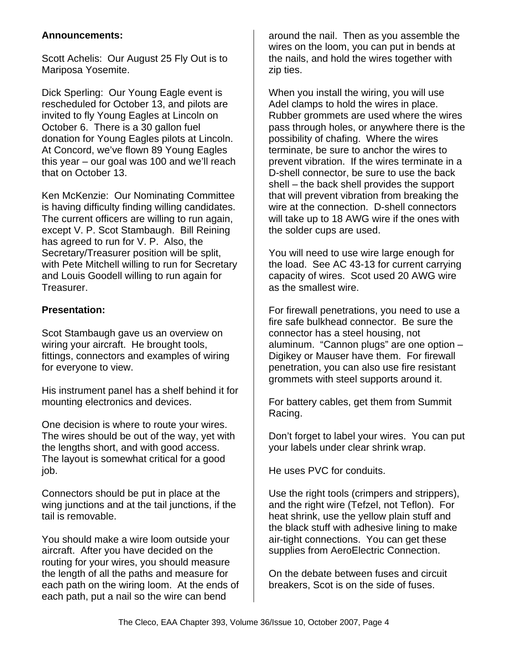### **Announcements:**

Scott Achelis: Our August 25 Fly Out is to Mariposa Yosemite.

Dick Sperling: Our Young Eagle event is rescheduled for October 13, and pilots are invited to fly Young Eagles at Lincoln on October 6. There is a 30 gallon fuel donation for Young Eagles pilots at Lincoln. At Concord, we've flown 89 Young Eagles this year – our goal was 100 and we'll reach that on October 13.

Ken McKenzie: Our Nominating Committee is having difficulty finding willing candidates. The current officers are willing to run again, except V. P. Scot Stambaugh. Bill Reining has agreed to run for V. P. Also, the Secretary/Treasurer position will be split, with Pete Mitchell willing to run for Secretary and Louis Goodell willing to run again for Treasurer.

### **Presentation:**

Scot Stambaugh gave us an overview on wiring your aircraft. He brought tools, fittings, connectors and examples of wiring for everyone to view.

His instrument panel has a shelf behind it for mounting electronics and devices.

One decision is where to route your wires. The wires should be out of the way, yet with the lengths short, and with good access. The layout is somewhat critical for a good job.

Connectors should be put in place at the wing junctions and at the tail junctions, if the tail is removable.

You should make a wire loom outside your aircraft. After you have decided on the routing for your wires, you should measure the length of all the paths and measure for each path on the wiring loom. At the ends of each path, put a nail so the wire can bend

around the nail. Then as you assemble the wires on the loom, you can put in bends at the nails, and hold the wires together with zip ties.

When you install the wiring, you will use Adel clamps to hold the wires in place. Rubber grommets are used where the wires pass through holes, or anywhere there is the possibility of chafing. Where the wires terminate, be sure to anchor the wires to prevent vibration. If the wires terminate in a D-shell connector, be sure to use the back shell – the back shell provides the support that will prevent vibration from breaking the wire at the connection. D-shell connectors will take up to 18 AWG wire if the ones with the solder cups are used.

You will need to use wire large enough for the load. See AC 43-13 for current carrying capacity of wires. Scot used 20 AWG wire as the smallest wire.

For firewall penetrations, you need to use a fire safe bulkhead connector. Be sure the connector has a steel housing, not aluminum. "Cannon plugs" are one option – Digikey or Mauser have them. For firewall penetration, you can also use fire resistant grommets with steel supports around it.

For battery cables, get them from Summit Racing.

Don't forget to label your wires. You can put your labels under clear shrink wrap.

He uses PVC for conduits.

Use the right tools (crimpers and strippers), and the right wire (Tefzel, not Teflon). For heat shrink, use the yellow plain stuff and the black stuff with adhesive lining to make air-tight connections. You can get these supplies from AeroElectric Connection.

On the debate between fuses and circuit breakers, Scot is on the side of fuses.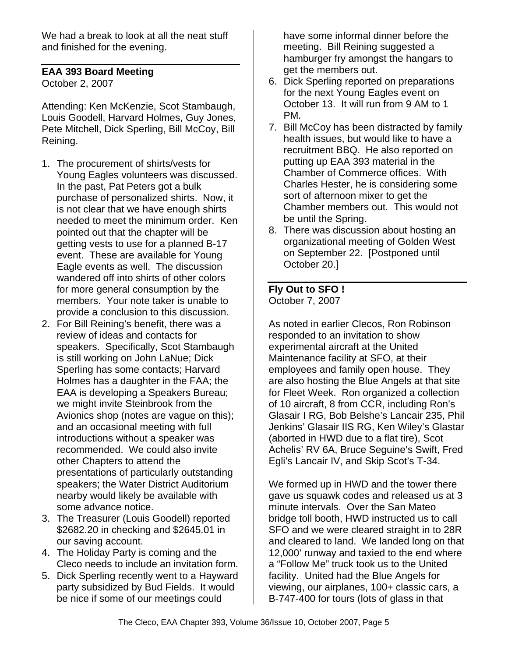We had a break to look at all the neat stuff and finished for the evening.

### **EAA 393 Board Meeting**

October 2, 2007

Attending: Ken McKenzie, Scot Stambaugh, Louis Goodell, Harvard Holmes, Guy Jones, Pete Mitchell, Dick Sperling, Bill McCoy, Bill Reining.

- 1. The procurement of shirts/vests for Young Eagles volunteers was discussed. In the past, Pat Peters got a bulk purchase of personalized shirts. Now, it is not clear that we have enough shirts needed to meet the minimum order. Ken pointed out that the chapter will be getting vests to use for a planned B-17 event. These are available for Young Eagle events as well. The discussion wandered off into shirts of other colors for more general consumption by the members. Your note taker is unable to provide a conclusion to this discussion.
- 2. For Bill Reining's benefit, there was a review of ideas and contacts for speakers. Specifically, Scot Stambaugh is still working on John LaNue; Dick Sperling has some contacts; Harvard Holmes has a daughter in the FAA; the EAA is developing a Speakers Bureau; we might invite Steinbrook from the Avionics shop (notes are vague on this); and an occasional meeting with full introductions without a speaker was recommended. We could also invite other Chapters to attend the presentations of particularly outstanding speakers; the Water District Auditorium nearby would likely be available with some advance notice.
- 3. The Treasurer (Louis Goodell) reported \$2682.20 in checking and \$2645.01 in our saving account.
- 4. The Holiday Party is coming and the Cleco needs to include an invitation form.
- 5. Dick Sperling recently went to a Hayward party subsidized by Bud Fields. It would be nice if some of our meetings could

have some informal dinner before the meeting. Bill Reining suggested a hamburger fry amongst the hangars to get the members out.

- 6. Dick Sperling reported on preparations for the next Young Eagles event on October 13. It will run from 9 AM to 1 PM.
- 7. Bill McCoy has been distracted by family health issues, but would like to have a recruitment BBQ. He also reported on putting up EAA 393 material in the Chamber of Commerce offices. With Charles Hester, he is considering some sort of afternoon mixer to get the Chamber members out. This would not be until the Spring.
- 8. There was discussion about hosting an organizational meeting of Golden West on September 22. [Postponed until October 20.]

### **Fly Out to SFO !** October 7, 2007

As noted in earlier Clecos, Ron Robinson responded to an invitation to show experimental aircraft at the United Maintenance facility at SFO, at their employees and family open house. They are also hosting the Blue Angels at that site for Fleet Week. Ron organized a collection of 10 aircraft, 8 from CCR, including Ron's Glasair I RG, Bob Belshe's Lancair 235, Phil Jenkins' Glasair IIS RG, Ken Wiley's Glastar (aborted in HWD due to a flat tire), Scot Achelis' RV 6A, Bruce Seguine's Swift, Fred Egli's Lancair IV, and Skip Scot's T-34.

We formed up in HWD and the tower there gave us squawk codes and released us at 3 minute intervals. Over the San Mateo bridge toll booth, HWD instructed us to call SFO and we were cleared straight in to 28R and cleared to land. We landed long on that 12,000' runway and taxied to the end where a "Follow Me" truck took us to the United facility. United had the Blue Angels for viewing, our airplanes, 100+ classic cars, a B-747-400 for tours (lots of glass in that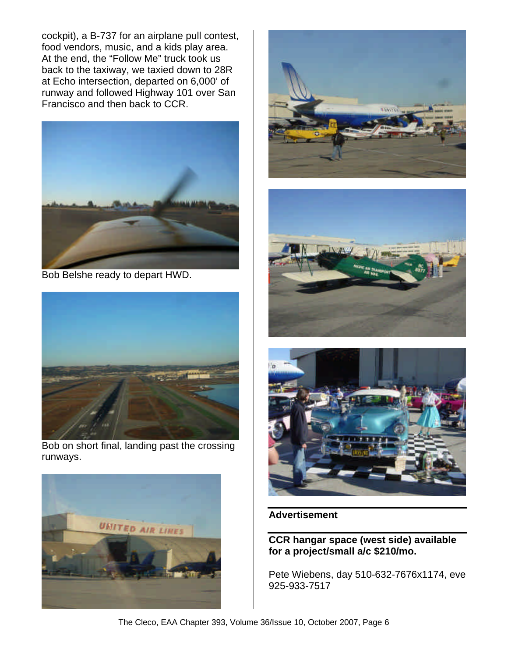cockpit), a B-737 for an airplane pull contest, food vendors, music, and a kids play area. At the end, the "Follow Me" truck took us back to the taxiway, we taxied down to 28R at Echo intersection, departed on 6,000' of runway and followed Highway 101 over San Francisco and then back to CCR.



Bob Belshe ready to depart HWD.



Bob on short final, landing past the crossing runways.









#### **Advertisement**

### **CCR hangar space (west side) available for a project/small a/c \$210/mo.**

Pete Wiebens, day 510-632-7676x1174, eve 925-933-7517

The Cleco, EAA Chapter 393, Volume 36/Issue 10, October 2007, Page 6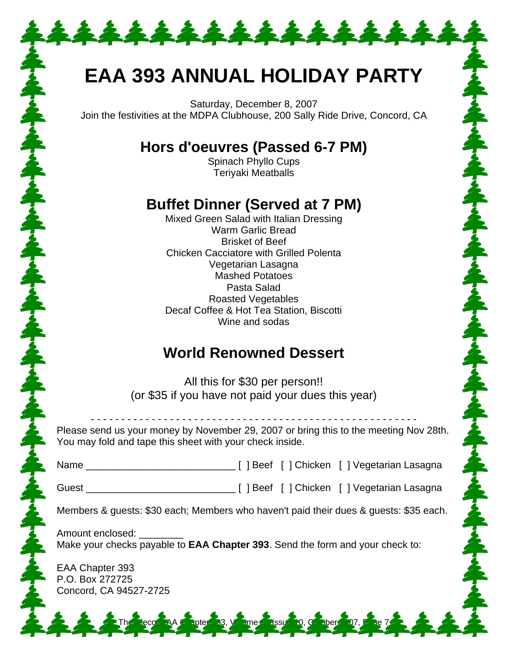# **EAA 393 ANNUAL HOLIDAY PARTY**

\*\*\*\*\*\*\*\*\*\*\*\*\*\*

Saturday, December 8, 2007 Join the festivities at the MDPA Clubhouse, 200 Sally Ride Drive, Concord, CA

### **Hors d'oeuvres (Passed 6-7 PM)**

Spinach Phyllo Cups Teriyaki Meatballs

### **Buffet Dinner (Served at 7 PM)**

Mixed Green Salad with Italian Dressing Warm Garlic Bread Brisket of Beef Chicken Cacciatore with Grilled Polenta Vegetarian Lasagna Mashed Potatoes Pasta Salad Roasted Vegetables Decaf Coffee & Hot Tea Station, Biscotti Wine and sodas

### **World Renowned Dessert**

All this for \$30 per person!! (or \$35 if you have not paid your dues this year)

Please send us your money by November 29, 2007 or bring this to the meeting Nov 28th. You may fold and tape this sheet with your check inside.

- - - - - - - - - - - - - - - - - - - - - - - - - - - - - - - - - - - - - - - - - - - - - - - - - - - - - -

| Name |  | [ ] Beef [ ] Chicken [ ] Vegetarian Lasagna |
|------|--|---------------------------------------------|
|      |  |                                             |

Guest \_\_\_\_\_\_\_\_\_\_\_\_\_\_\_\_\_\_\_\_\_\_\_\_\_\_\_ [ ] Beef [ ] Chicken [ ] Vegetarian Lasagna

Members & guests: \$30 each; Members who haven't paid their dues & guests: \$35 each.

**The Classic 20, Caber** 

大家 人名英格兰人姓氏米尔的变体

Amount enclosed: Make your checks payable to **EAA Chapter 393**. Send the form and your check to:

EAA Chapter 393 P.O. Box 272725 Concord, CA 94527-2725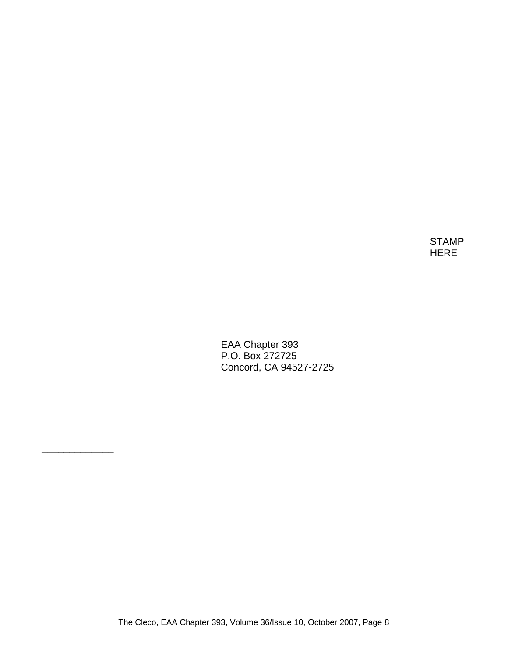STAMP HERE

EAA Chapter 393 P.O. Box 272725 Concord, CA 94527-2725

\_\_\_\_\_\_\_\_\_\_\_\_

\_\_\_\_\_\_\_\_\_\_\_\_\_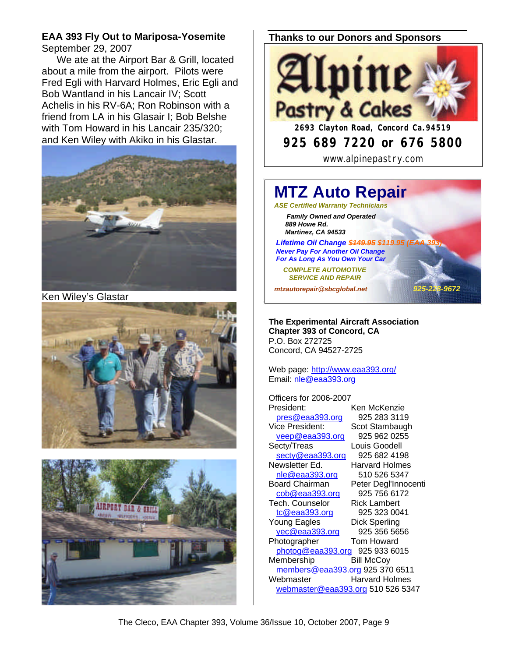#### **EAA 393 Fly Out to Mariposa-Yosemite** September 29, 2007

We ate at the Airport Bar & Grill, located about a mile from the airport. Pilots were Fred Egli with Harvard Holmes, Eric Egli and Bob Wantland in his Lancair IV; Scott Achelis in his RV-6A; Ron Robinson with a friend from LA in his Glasair I; Bob Belshe with Tom Howard in his Lancair 235/320; and Ken Wiley with Akiko in his Glastar.



Ken Wiley's Glastar





### **Thanks to our Donors and Sponsors**



#### **MTZ Auto Repair** *ASE Certified Warranty Technicians Family Owned and Operated 889 Howe Rd. Martinez, CA 94533* **Lifetime Oil Change \$449.95 \$119.95 (EA)**  *Never Pay For Another Oil Change For As Long As You Own Your Car COMPLETE AUTOMOTIVE SERVICE AND REPAIR*

*mtzautorepair@sbcglobal.net 925-228-9672*

**The Experimental Aircraft Association Chapter 393 of Concord, CA** P.O. Box 272725 Concord, CA 94527-2725

Web page: http://www.eaa393.org/ Email: nle@eaa393.org

Officers for 2006-2007 President: Ken McKenzie pres@eaa393.org 925 283 3119 Vice President: Scot Stambaugh veep@eaa393.org 925 962 0255 Secty/Treas Louis Goodell secty@eaa393.org 925 682 4198 Newsletter Ed. Harvard Holmes nle@eaa393.org 510 526 5347 Board Chairman Peter Degl'Innocenti<br>cob@eaa393.org 925 756 6172 cob@eaa393.org 925 756 617<br>ech. Counselor Rick Lambert Tech. Counselor tc@eaa393.org 925 323 0041 Young Eagles Dick Sperling yec@eaa393.org 925 356 5656 Photographer Tom Howard photog@eaa393.org 925 933 6015 Membership Bill McCoy members@eaa393.org 925 370 6511 Webmaster **Harvard Holmes** webmaster@eaa393.org 510 526 5347

The Cleco, EAA Chapter 393, Volume 36/Issue 10, October 2007, Page 9